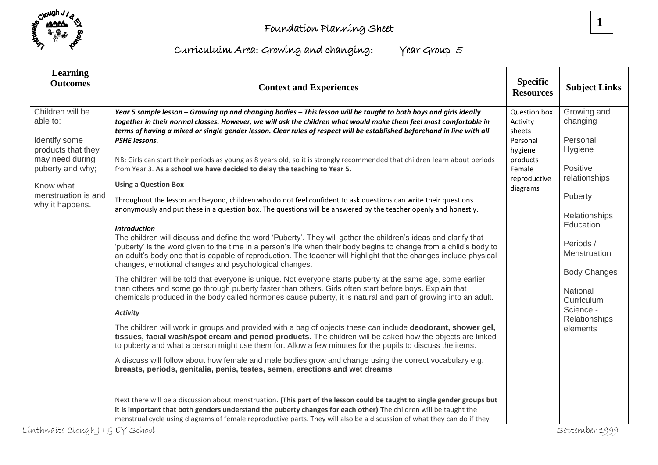

**1**

## Curriculuim Area: Growing and changing: Year Group 5

| <b>Learning</b><br><b>Outcomes</b><br><b>Context and Experiences</b>                                                                                                                                                                                                                                                                                                                                                                                                                                                                                                                                                                                                                                                                                                                                                                                                                                                                                                                                                                                                                                                                                                                                                                                                                                                                                                                                                                                                                                                                                                                                                                                                                                                                                                                                                                                                                                                                                                                                                                                                                                                                                                                                                                                                                                                                                                                                                                                                                                                                                                                                                                                                                                                                                                                                                                                         | <b>Specific</b><br><b>Resources</b> | <b>Subject Links</b>                                                                                                                                                                                                                         |
|--------------------------------------------------------------------------------------------------------------------------------------------------------------------------------------------------------------------------------------------------------------------------------------------------------------------------------------------------------------------------------------------------------------------------------------------------------------------------------------------------------------------------------------------------------------------------------------------------------------------------------------------------------------------------------------------------------------------------------------------------------------------------------------------------------------------------------------------------------------------------------------------------------------------------------------------------------------------------------------------------------------------------------------------------------------------------------------------------------------------------------------------------------------------------------------------------------------------------------------------------------------------------------------------------------------------------------------------------------------------------------------------------------------------------------------------------------------------------------------------------------------------------------------------------------------------------------------------------------------------------------------------------------------------------------------------------------------------------------------------------------------------------------------------------------------------------------------------------------------------------------------------------------------------------------------------------------------------------------------------------------------------------------------------------------------------------------------------------------------------------------------------------------------------------------------------------------------------------------------------------------------------------------------------------------------------------------------------------------------------------------------------------------------------------------------------------------------------------------------------------------------------------------------------------------------------------------------------------------------------------------------------------------------------------------------------------------------------------------------------------------------------------------------------------------------------------------------------------------------|-------------------------------------|----------------------------------------------------------------------------------------------------------------------------------------------------------------------------------------------------------------------------------------------|
| Children will be<br>Year 5 sample lesson - Growing up and changing bodies - This lesson will be taught to both boys and girls ideally<br>able to:<br>together in their normal classes. However, we will ask the children what would make them feel most comfortable in<br>Activity<br>terms of having a mixed or single gender lesson. Clear rules of respect will be established beforehand in line with all<br>sheets<br>Identify some<br><b>PSHE lessons.</b><br>Personal<br>products that they<br>hygiene<br>may need during<br>NB: Girls can start their periods as young as 8 years old, so it is strongly recommended that children learn about periods<br>products<br>puberty and why;<br>from Year 3. As a school we have decided to delay the teaching to Year 5.<br>Female<br><b>Using a Question Box</b><br>Know what<br>diagrams<br>menstruation is and<br>Throughout the lesson and beyond, children who do not feel confident to ask questions can write their questions<br>why it happens.<br>anonymously and put these in a question box. The questions will be answered by the teacher openly and honestly.<br><b>Introduction</b><br>The children will discuss and define the word 'Puberty'. They will gather the children's ideas and clarify that<br>'puberty' is the word given to the time in a person's life when their body begins to change from a child's body to<br>an adult's body one that is capable of reproduction. The teacher will highlight that the changes include physical<br>changes, emotional changes and psychological changes.<br>The children will be told that everyone is unique. Not everyone starts puberty at the same age, some earlier<br>than others and some go through puberty faster than others. Girls often start before boys. Explain that<br>chemicals produced in the body called hormones cause puberty, it is natural and part of growing into an adult.<br><b>Activity</b><br>The children will work in groups and provided with a bag of objects these can include deodorant, shower gel,<br>tissues, facial wash/spot cream and period products. The children will be asked how the objects are linked<br>to puberty and what a person might use them for. Allow a few minutes for the pupils to discuss the items.<br>A discuss will follow about how female and male bodies grow and change using the correct vocabulary e.g.<br>breasts, periods, genitalia, penis, testes, semen, erections and wet dreams<br>Next there will be a discussion about menstruation. (This part of the lesson could be taught to single gender groups but<br>it is important that both genders understand the puberty changes for each other) The children will be taught the<br>menstrual cycle using diagrams of female reproductive parts. They will also be a discussion of what they can do if they | Question box<br>reproductive        | Growing and<br>changing<br>Personal<br>Hygiene<br>Positive<br>relationships<br>Puberty<br>Relationships<br>Education<br>Periods /<br>Menstruation<br><b>Body Changes</b><br>National<br>Curriculum<br>Science -<br>Relationships<br>elements |